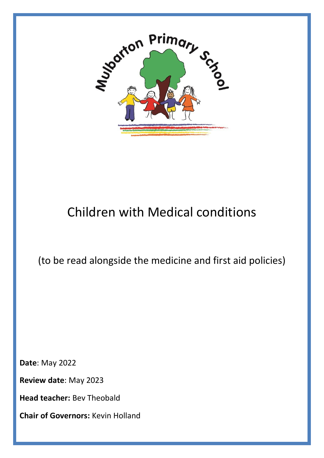

# Children with Medical conditions

(to be read alongside the medicine and first aid policies)

**Date**: May 2022

**Review date**: May 2023

**Head teacher:** Bev Theobald

**Chair of Governors:** Kevin Holland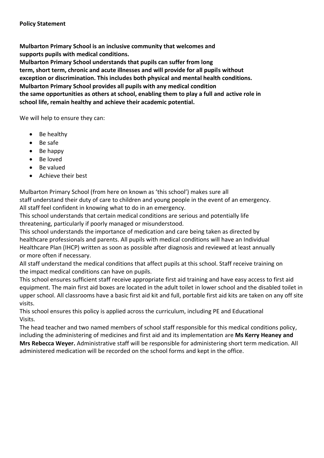**Mulbarton Primary School is an inclusive community that welcomes and supports pupils with medical conditions. Mulbarton Primary School understands that pupils can suffer from long term, short term, chronic and acute illnesses and will provide for all pupils without exception or discrimination. This includes both physical and mental health conditions. Mulbarton Primary School provides all pupils with any medical condition the same opportunities as others at school, enabling them to play a full and active role in school life, remain healthy and achieve their academic potential.**

We will help to ensure they can:

- Be healthy
- Be safe
- Be happy
- Be loved
- Be valued
- Achieve their best

Mulbarton Primary School (from here on known as 'this school') makes sure all staff understand their duty of care to children and young people in the event of an emergency. All staff feel confident in knowing what to do in an emergency.

This school understands that certain medical conditions are serious and potentially life threatening, particularly if poorly managed or misunderstood.

This school understands the importance of medication and care being taken as directed by healthcare professionals and parents. All pupils with medical conditions will have an Individual Healthcare Plan (IHCP) written as soon as possible after diagnosis and reviewed at least annually or more often if necessary.

All staff understand the medical conditions that affect pupils at this school. Staff receive training on the impact medical conditions can have on pupils.

This school ensures sufficient staff receive appropriate first aid training and have easy access to first aid equipment. The main first aid boxes are located in the adult toilet in lower school and the disabled toilet in upper school. All classrooms have a basic first aid kit and full, portable first aid kits are taken on any off site visits.

This school ensures this policy is applied across the curriculum, including PE and Educational Visits.

The head teacher and two named members of school staff responsible for this medical conditions policy, including the administering of medicines and first aid and its implementation are **Ms Kerry Heaney and Mrs Rebecca Weyer.** Administrative staff will be responsible for administering short term medication. All administered medication will be recorded on the school forms and kept in the office.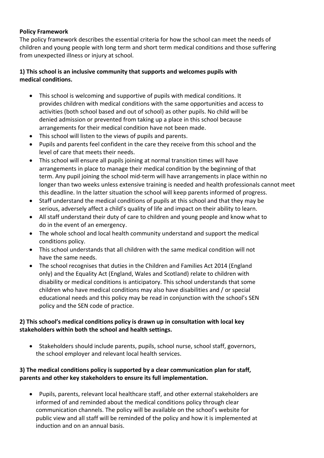#### **Policy Framework**

The policy framework describes the essential criteria for how the school can meet the needs of children and young people with long term and short term medical conditions and those suffering from unexpected illness or injury at school.

### **1) This school is an inclusive community that supports and welcomes pupils with medical conditions.**

- This school is welcoming and supportive of pupils with medical conditions. It provides children with medical conditions with the same opportunities and access to activities (both school based and out of school) as other pupils. No child will be denied admission or prevented from taking up a place in this school because arrangements for their medical condition have not been made.
- This school will listen to the views of pupils and parents.
- Pupils and parents feel confident in the care they receive from this school and the level of care that meets their needs.
- This school will ensure all pupils joining at normal transition times will have arrangements in place to manage their medical condition by the beginning of that term. Any pupil joining the school mid-term will have arrangements in place within no longer than two weeks unless extensive training is needed and health professionals cannot meet this deadline. In the latter situation the school will keep parents informed of progress.
- Staff understand the medical conditions of pupils at this school and that they may be serious, adversely affect a child's quality of life and impact on their ability to learn.
- All staff understand their duty of care to children and young people and know what to do in the event of an emergency.
- The whole school and local health community understand and support the medical conditions policy.
- This school understands that all children with the same medical condition will not have the same needs.
- The school recognises that duties in the Children and Families Act 2014 (England only) and the Equality Act (England, Wales and Scotland) relate to children with disability or medical conditions is anticipatory. This school understands that some children who have medical conditions may also have disabilities and / or special educational needs and this policy may be read in conjunction with the school's SEN policy and the SEN code of practice.

### **2) This school's medical conditions policy is drawn up in consultation with local key stakeholders within both the school and health settings.**

• Stakeholders should include parents, pupils, school nurse, school staff, governors, the school employer and relevant local health services.

### **3) The medical conditions policy is supported by a clear communication plan for staff, parents and other key stakeholders to ensure its full implementation.**

• Pupils, parents, relevant local healthcare staff, and other external stakeholders are informed of and reminded about the medical conditions policy through clear communication channels. The policy will be available on the school's website for public view and all staff will be reminded of the policy and how it is implemented at induction and on an annual basis.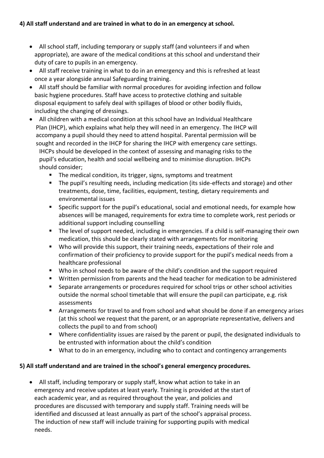## **4) All staff understand and are trained in what to do in an emergency at school.**

- All school staff, including temporary or supply staff (and volunteers if and when appropriate), are aware of the medical conditions at this school and understand their duty of care to pupils in an emergency.
- All staff receive training in what to do in an emergency and this is refreshed at least once a year alongside annual Safeguarding training.
- All staff should be familiar with normal procedures for avoiding infection and follow basic hygiene procedures. Staff have access to protective clothing and suitable disposal equipment to safely deal with spillages of blood or other bodily fluids, including the changing of dressings.
- All children with a medical condition at this school have an Individual Healthcare Plan (IHCP), which explains what help they will need in an emergency. The IHCP will accompany a pupil should they need to attend hospital. Parental permission will be sought and recorded in the IHCP for sharing the IHCP with emergency care settings. IHCPs should be developed in the context of assessing and managing risks to the pupil's education, health and social wellbeing and to minimise disruption. IHCPs should consider;
	- The medical condition, its trigger, signs, symptoms and treatment
	- The pupil's resulting needs, including medication (its side-effects and storage) and other treatments, dose, time, facilities, equipment, testing, dietary requirements and environmental issues
	- Specific support for the pupil's educational, social and emotional needs, for example how absences will be managed, requirements for extra time to complete work, rest periods or additional support including counselling
	- The level of support needed, including in emergencies. If a child is self-managing their own medication, this should be clearly stated with arrangements for monitoring
	- Who will provide this support, their training needs, expectations of their role and confirmation of their proficiency to provide support for the pupil's medical needs from a healthcare professional
	- Who in school needs to be aware of the child's condition and the support required
	- Written permission from parents and the head teacher for medication to be administered
	- Separate arrangements or procedures required for school trips or other school activities outside the normal school timetable that will ensure the pupil can participate, e.g. risk assessments
	- Arrangements for travel to and from school and what should be done if an emergency arises (at this school we request that the parent, or an appropriate representative, delivers and collects the pupil to and from school)
	- Where confidentiality issues are raised by the parent or pupil, the designated individuals to be entrusted with information about the child's condition
	- What to do in an emergency, including who to contact and contingency arrangements

#### **5) All staff understand and are trained in the school's general emergency procedures.**

• All staff, including temporary or supply staff, know what action to take in an emergency and receive updates at least yearly. Training is provided at the start of each academic year, and as required throughout the year, and policies and procedures are discussed with temporary and supply staff. Training needs will be identified and discussed at least annually as part of the school's appraisal process. The induction of new staff will include training for supporting pupils with medical needs.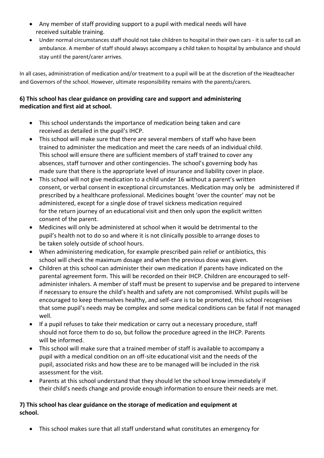- Any member of staff providing support to a pupil with medical needs will have received suitable training.
- Under normal circumstances staff should not take children to hospital in their own cars it is safer to call an ambulance. A member of staff should always accompany a child taken to hospital by ambulance and should stay until the parent/carer arrives.

In all cases, administration of medication and/or treatment to a pupil will be at the discretion of the Headteacher and Governors of the school. However, ultimate responsibility remains with the parents/carers.

## **6) This school has clear guidance on providing care and support and administering medication and first aid at school.**

- This school understands the importance of medication being taken and care received as detailed in the pupil's IHCP.
- This school will make sure that there are several members of staff who have been trained to administer the medication and meet the care needs of an individual child. This school will ensure there are sufficient members of staff trained to cover any absences, staff turnover and other contingencies. The school's governing body has made sure that there is the appropriate level of insurance and liability cover in place.
- This school will not give medication to a child under 16 without a parent's written consent, or verbal consent in exceptional circumstances. Medication may only be administered if prescribed by a healthcare professional. Medicines bought 'over the counter' may not be administered, except for a single dose of travel sickness medication required for the return journey of an educational visit and then only upon the explicit written consent of the parent.
- Medicines will only be administered at school when it would be detrimental to the pupil's health not to do so and where it is not clinically possible to arrange doses to be taken solely outside of school hours.
- When administering medication, for example prescribed pain relief or antibiotics, this school will check the maximum dosage and when the previous dose was given.
- Children at this school can administer their own medication if parents have indicated on the parental agreement form. This will be recorded on their IHCP. Children are encouraged to selfadminister inhalers. A member of staff must be present to supervise and be prepared to intervene if necessary to ensure the child's health and safety are not compromised. Whilst pupils will be encouraged to keep themselves healthy, and self-care is to be promoted, this school recognises that some pupil's needs may be complex and some medical conditions can be fatal if not managed well.
- If a pupil refuses to take their medication or carry out a necessary procedure, staff should not force them to do so, but follow the procedure agreed in the IHCP. Parents will be informed.
- This school will make sure that a trained member of staff is available to accompany a pupil with a medical condition on an off-site educational visit and the needs of the pupil, associated risks and how these are to be managed will be included in the risk assessment for the visit.
- Parents at this school understand that they should let the school know immediately if their child's needs change and provide enough information to ensure their needs are met.

## **7) This school has clear guidance on the storage of medication and equipment at school.**

• This school makes sure that all staff understand what constitutes an emergency for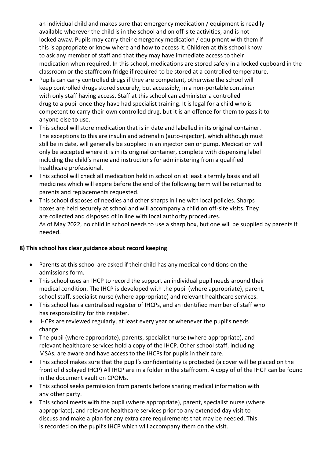an individual child and makes sure that emergency medication / equipment is readily available wherever the child is in the school and on off-site activities, and is not locked away. Pupils may carry their emergency medication / equipment with them if this is appropriate or know where and how to access it. Children at this school know to ask any member of staff and that they may have immediate access to their medication when required. In this school, medications are stored safely in a locked cupboard in the classroom or the staffroom fridge if required to be stored at a controlled temperature.

- Pupils can carry controlled drugs if they are competent, otherwise the school will keep controlled drugs stored securely, but accessibly, in a non-portable container with only staff having access. Staff at this school can administer a controlled drug to a pupil once they have had specialist training. It is legal for a child who is competent to carry their own controlled drug, but it is an offence for them to pass it to anyone else to use.
- This school will store medication that is in date and labelled in its original container. The exceptions to this are insulin and adrenalin (auto-injector), which although must still be in date, will generally be supplied in an injector pen or pump. Medication will only be accepted where it is in its original container, complete with dispensing label including the child's name and instructions for administering from a qualified healthcare professional.
- This school will check all medication held in school on at least a termly basis and all medicines which will expire before the end of the following term will be returned to parents and replacements requested.
- This school disposes of needles and other sharps in line with local policies. Sharps boxes are held securely at school and will accompany a child on off-site visits. They are collected and disposed of in line with local authority procedures. As of May 2022, no child in school needs to use a sharp box, but one will be supplied by parents if needed.

## **8) This school has clear guidance about record keeping**

- Parents at this school are asked if their child has any medical conditions on the admissions form.
- This school uses an IHCP to record the support an individual pupil needs around their medical condition. The IHCP is developed with the pupil (where appropriate), parent, school staff, specialist nurse (where appropriate) and relevant healthcare services.
- This school has a centralised register of IHCPs, and an identified member of staff who has responsibility for this register.
- IHCPs are reviewed regularly, at least every year or whenever the pupil's needs change.
- The pupil (where appropriate), parents, specialist nurse (where appropriate), and relevant healthcare services hold a copy of the IHCP. Other school staff, including MSAs, are aware and have access to the IHCPs for pupils in their care.
- This school makes sure that the pupil's confidentiality is protected (a cover will be placed on the front of displayed IHCP) All IHCP are in a folder in the staffroom. A copy of of the IHCP can be found in the document vault on CPOMs.
- This school seeks permission from parents before sharing medical information with any other party.
- This school meets with the pupil (where appropriate), parent, specialist nurse (where appropriate), and relevant healthcare services prior to any extended day visit to discuss and make a plan for any extra care requirements that may be needed. This is recorded on the pupil's IHCP which will accompany them on the visit.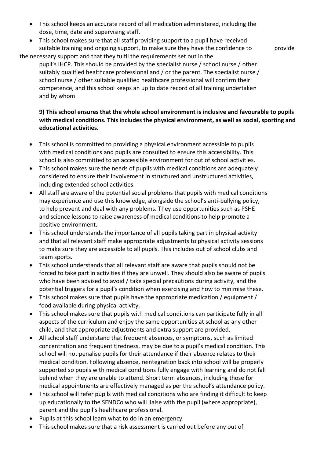- This school keeps an accurate record of all medication administered, including the dose, time, date and supervising staff.
- This school makes sure that all staff providing support to a pupil have received suitable training and ongoing support, to make sure they have the confidence to provide

the necessary support and that they fulfil the requirements set out in the

pupil's IHCP. This should be provided by the specialist nurse / school nurse / other suitably qualified healthcare professional and / or the parent. The specialist nurse / school nurse / other suitable qualified healthcare professional will confirm their competence, and this school keeps an up to date record of all training undertaken and by whom

#### **9) This school ensures that the whole school environment is inclusive and favourable to pupils with medical conditions. This includes the physical environment, as well as social, sporting and educational activities.**

- This school is committed to providing a physical environment accessible to pupils with medical conditions and pupils are consulted to ensure this accessibility. This school is also committed to an accessible environment for out of school activities.
- This school makes sure the needs of pupils with medical conditions are adequately considered to ensure their involvement in structured and unstructured activities, including extended school activities.
- All staff are aware of the potential social problems that pupils with medical conditions may experience and use this knowledge, alongside the school's anti-bullying policy, to help prevent and deal with any problems. They use opportunities such as PSHE and science lessons to raise awareness of medical conditions to help promote a positive environment.
- This school understands the importance of all pupils taking part in physical activity and that all relevant staff make appropriate adjustments to physical activity sessions to make sure they are accessible to all pupils. This includes out of school clubs and team sports.
- This school understands that all relevant staff are aware that pupils should not be forced to take part in activities if they are unwell. They should also be aware of pupils who have been advised to avoid / take special precautions during activity, and the potential triggers for a pupil's condition when exercising and how to minimise these.
- This school makes sure that pupils have the appropriate medication / equipment / food available during physical activity.
- This school makes sure that pupils with medical conditions can participate fully in all aspects of the curriculum and enjoy the same opportunities at school as any other child, and that appropriate adjustments and extra support are provided.
- All school staff understand that frequent absences, or symptoms, such as limited concentration and frequent tiredness, may be due to a pupil's medical condition. This school will not penalise pupils for their attendance if their absence relates to their medical condition. Following absence, reintegration back into school will be properly supported so pupils with medical conditions fully engage with learning and do not fall behind when they are unable to attend. Short term absences, including those for medical appointments are effectively managed as per the school's attendance policy.
- This school will refer pupils with medical conditions who are finding it difficult to keep up educationally to the SENDCo who will liaise with the pupil (where appropriate), parent and the pupil's healthcare professional.
- Pupils at this school learn what to do in an emergency.
- This school makes sure that a risk assessment is carried out before any out of